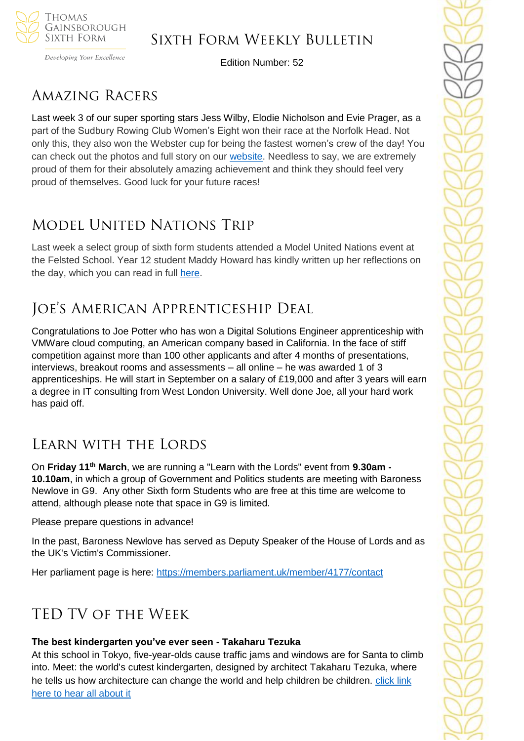

Developing Your Excellence

Edition Number: 52

# Amazing Racers

Last week 3 of our super sporting stars Jess Wilby, Elodie Nicholson and Evie Prager, as a part of the Sudbury Rowing Club Women's Eight won their race at the Norfolk Head. Not only this, they also won the Webster cup for being the fastest women's crew of the day! You can check out the photos and full story on our [website.](https://tgschool.net/news/sixth-form-rowers-success-in-norfolk) Needless to say, we are extremely proud of them for their absolutely amazing achievement and think they should feel very proud of themselves. Good luck for your future races!

# Model United Nations Trip

Last week a select group of sixth form students attended a Model United Nations event at the Felsted School. Year 12 student Maddy Howard has kindly written up her reflections on the day, which you can read in full [here.](https://tgschool.net/news/model-united-nations-trip-review)

# Joe's American Apprenticeship Deal

Congratulations to Joe Potter who has won a Digital Solutions Engineer apprenticeship with VMWare cloud computing, an American company based in California. In the face of stiff competition against more than 100 other applicants and after 4 months of presentations, interviews, breakout rooms and assessments – all online – he was awarded 1 of 3 apprenticeships. He will start in September on a salary of £19,000 and after 3 years will earn a degree in IT consulting from West London University. Well done Joe, all your hard work has paid off.

## Learn with the Lords

On **Friday 11th March**, we are running a "Learn with the Lords" event from **9.30am - 10.10am**, in which a group of Government and Politics students are meeting with Baroness Newlove in G9. Any other Sixth form Students who are free at this time are welcome to attend, although please note that space in G9 is limited.

Please prepare questions in advance!

In the past, Baroness Newlove has served as Deputy Speaker of the House of Lords and as the UK's Victim's Commissioner.

Her parliament page is here: <https://members.parliament.uk/member/4177/contact>

## TED TV of the Week

## **The best kindergarten you've ever seen - Takaharu Tezuka**

At this school in Tokyo, five-year-olds cause traffic jams and windows are for Santa to climb into. Meet: the world's cutest kindergarten, designed by architect Takaharu Tezuka, where he tells us how architecture can change the world and help children be children. click link [here to hear all about it](https://www.ted.com/talks/takaharu_tezuka_the_best_kindergarten_you_ve_ever_seen)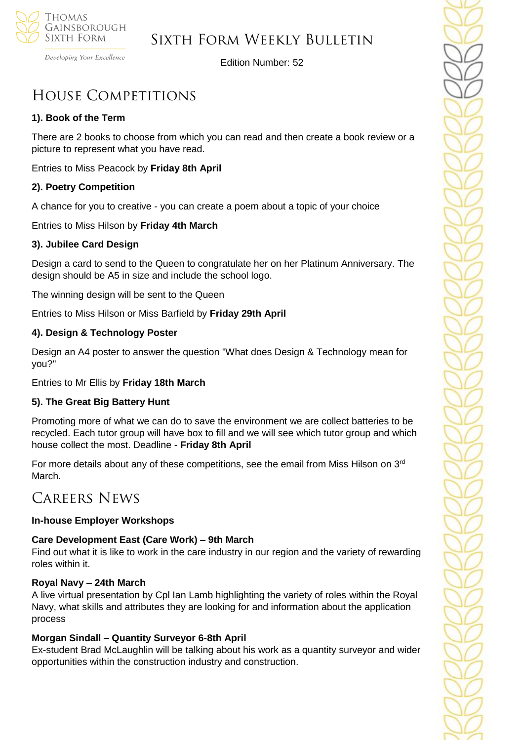

Developing Your Excellence

Edition Number: 52

# House Competitions

## **1). Book of the Term**

There are 2 books to choose from which you can read and then create a book review or a picture to represent what you have read.

Entries to Miss Peacock by **Friday 8th April**

## **2). Poetry Competition**

A chance for you to creative - you can create a poem about a topic of your choice

Entries to Miss Hilson by **Friday 4th March**

## **3). Jubilee Card Design**

Design a card to send to the Queen to congratulate her on her Platinum Anniversary. The design should be A5 in size and include the school logo.

The winning design will be sent to the Queen

Entries to Miss Hilson or Miss Barfield by **Friday 29th April**

## **4). Design & Technology Poster**

Design an A4 poster to answer the question "What does Design & Technology mean for you?"

Entries to Mr Ellis by **Friday 18th March**

## **5). The Great Big Battery Hunt**

Promoting more of what we can do to save the environment we are collect batteries to be recycled. Each tutor group will have box to fill and we will see which tutor group and which house collect the most. Deadline - **Friday 8th April**

For more details about any of these competitions, see the email from Miss Hilson on  $3<sup>rd</sup>$ March.

## Careers News

## **In-house Employer Workshops**

## **Care Development East (Care Work) – 9th March**

Find out what it is like to work in the care industry in our region and the variety of rewarding roles within it.

## **Royal Navy – 24th March**

A live virtual presentation by Cpl Ian Lamb highlighting the variety of roles within the Royal Navy, what skills and attributes they are looking for and information about the application process

## **Morgan Sindall – Quantity Surveyor 6-8th April**

Ex-student Brad McLaughlin will be talking about his work as a quantity surveyor and wider opportunities within the construction industry and construction.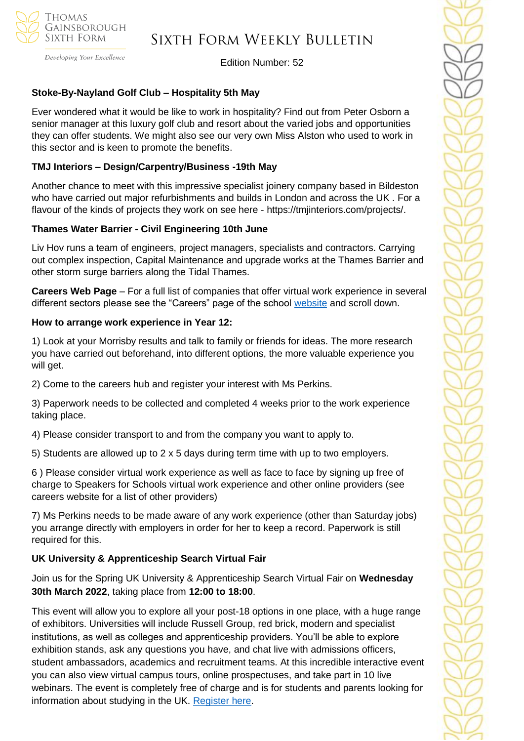

## Sixth Form Weekly Bulletin

Edition Number: 52

## **Stoke-By-Nayland Golf Club – Hospitality 5th May**

Ever wondered what it would be like to work in hospitality? Find out from Peter Osborn a senior manager at this luxury golf club and resort about the varied jobs and opportunities they can offer students. We might also see our very own Miss Alston who used to work in this sector and is keen to promote the benefits.

## **TMJ Interiors – Design/Carpentry/Business -19th May**

Another chance to meet with this impressive specialist joinery company based in Bildeston who have carried out major refurbishments and builds in London and across the UK . For a flavour of the kinds of projects they work on see here - https://tmjinteriors.com/projects/.

#### **Thames Water Barrier - Civil Engineering 10th June**

Liv Hov runs a team of engineers, project managers, specialists and contractors. Carrying out complex inspection, Capital Maintenance and upgrade works at the Thames Barrier and other storm surge barriers along the Tidal Thames.

**Careers Web Page** – For a full list of companies that offer virtual work experience in several different sectors please see the "Careers" page of the school [website](https://tgschool.net/careers) and scroll down.

#### **How to arrange work experience in Year 12:**

1) Look at your Morrisby results and talk to family or friends for ideas. The more research you have carried out beforehand, into different options, the more valuable experience you will get.

2) Come to the careers hub and register your interest with Ms Perkins.

3) Paperwork needs to be collected and completed 4 weeks prior to the work experience taking place.

4) Please consider transport to and from the company you want to apply to.

5) Students are allowed up to 2 x 5 days during term time with up to two employers.

6 ) Please consider virtual work experience as well as face to face by signing up free of charge to Speakers for Schools virtual work experience and other online providers (see careers website for a list of other providers)

7) Ms Perkins needs to be made aware of any work experience (other than Saturday jobs) you arrange directly with employers in order for her to keep a record. Paperwork is still required for this.

## **UK University & Apprenticeship Search Virtual Fair**

Join us for the Spring UK University & Apprenticeship Search Virtual Fair on **Wednesday 30th March 2022**, taking place from **12:00 to 18:00**.

This event will allow you to explore all your post-18 options in one place, with a huge range of exhibitors. Universities will include Russell Group, red brick, modern and specialist institutions, as well as colleges and apprenticeship providers. You'll be able to explore exhibition stands, ask any questions you have, and chat live with admissions officers, student ambassadors, academics and recruitment teams. At this incredible interactive event you can also view virtual campus tours, online prospectuses, and take part in 10 live webinars. The event is completely free of charge and is for students and parents looking for information about studying in the UK. [Register here.](https://ukunisearch.vfairs.com/en/registration)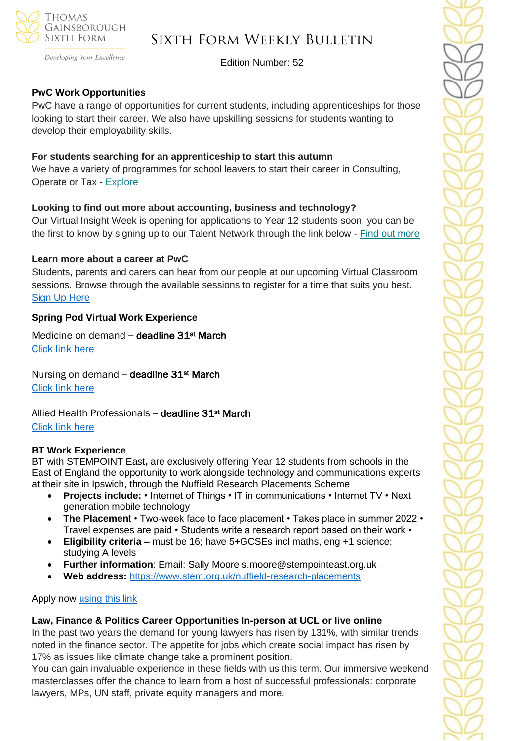

Developing Your Excellence

Edition Number: 52

## **PwC Work Opportunities**

PwC have a range of opportunities for current students, including apprenticeships for those looking to start their career. We also have upskilling sessions for students wanting to develop their employability skills.

#### **For students searching for an apprenticeship to start this autumn**

We have a variety of programmes for school leavers to start their career in Consulting, Operate or Tax - [Explore](https://successatschool.us3.list-manage.com/track/click?u=2c038531b25876a2c7c9cf8b1&id=9f5897f3f7&e=530f418f3c)

#### **Looking to find out more about accounting, business and technology?**

Our Virtual Insight Week is opening for applications to Year 12 students soon, you can be the first to know by signing up to our Talent Network through the link below - Find out [more](https://successatschool.us3.list-manage.com/track/click?u=2c038531b25876a2c7c9cf8b1&id=f5cecfdb6a&e=530f418f3c)

#### **Learn more about a career at PwC**

Students, parents and carers can hear from our people at our upcoming Virtual Classroom sessions. Browse through the available sessions to register for a time that suits you best. [Sign Up Here](https://www.pwc.co.uk/careers/student-careers/school-careers/virtual-classroom.html)

#### **Spring Pod Virtual Work Experience**

Medicine on demand - deadline 31st March [Click link here](https://www.springpod.com/virtual-work-experience/health-education-england-medicine-online-work-related-learning?utm_source=febpdf&utm_medium=email&utm_campaign=vwex&utm_term=vwex_febpdf&utm_content=vwex_febpdf_medicine_hee)

Nursing on demand - deadline 31<sup>st</sup> March [Click link here](https://www.springpod.com/virtual-work-experience/health-education-england-nursing-online-work-related-learning?utm_source=febpdf&utm_medium=email&utm_campaign=vwex&utm_term=vwex_febpdf&utm_content=vwex_febpdf_nursing_hee)

Allied Health Professionals - deadline 31st March [Click link here](https://www.springpod.com/virtual-work-experience/allied-health-professional-online-work-related-learning?utm_source=febpdf&utm_medium=email&utm_campaign=vwex&utm_term=vwex_febpdf&utm_content=vwex_febpdf_ahp_on_demand)

#### **BT Work Experience**

BT with STEMPOINT East**,** are exclusively offering Year 12 students from schools in the East of England the opportunity to work alongside technology and communications experts at their site in Ipswich, through the Nuffield Research Placements Scheme

- **Projects include:** Internet of Things IT in communications Internet TV Next generation mobile technology
- **The Placemen**t Two-week face to face placement Takes place in summer 2022 Travel expenses are paid • Students write a research report based on their work •
- **Eligibility criteria –** must be 16; have 5+GCSEs incl maths, eng +1 science; studying A levels
- **Further information**: Email: Sally Moore s.moore@stempointeast.org.uk
- **Web address:** <https://www.stem.org.uk/nuffield-research-placements>

Apply now [using this link](http://www.nuffieldresearchplacements.org/)

#### **Law, Finance & Politics Career Opportunities In-person at UCL or live online**

In the past two years the demand for young lawyers has risen by 131%, with similar trends noted in the finance sector. The appetite for jobs which create social impact has risen by 17% as issues like climate change take a prominent position.

You can gain invaluable experience in these fields with us this term. Our immersive weekend masterclasses offer the chance to learn from a host of successful professionals: corporate lawyers, MPs, UN staff, private equity managers and more.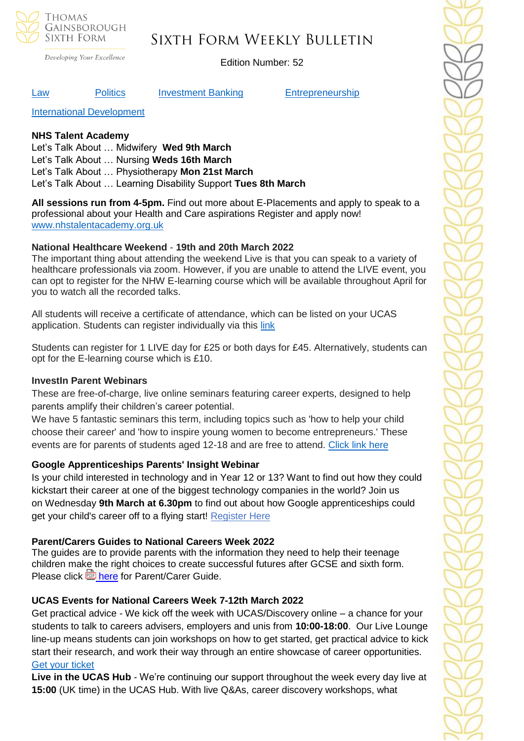

Developing Your Excellence

## Edition Number: 52

#### [Law](https://investin.org/pages/law?utm_source=UK+SCHOOLS+MASTER&utm_campaign=db55dddcac-bankersschoolmar_COPY_01&utm_medium=email&utm_term=0_bfccb03bbd-db55dddcac-137697031&mc_cid=db55dddcac&mc_eid=894e4199ae) [Politics](https://investin.org/pages/politics?utm_source=UK+SCHOOLS+MASTER&utm_campaign=db55dddcac-bankersschoolmar_COPY_01&utm_medium=email&utm_term=0_bfccb03bbd-db55dddcac-137697031&mc_cid=db55dddcac&mc_eid=894e4199ae) [Investment Banking](https://investin.org/pages/investment-banking?utm_source=UK+SCHOOLS+MASTER&utm_campaign=db55dddcac-bankersschoolmar_COPY_01&utm_medium=email&utm_term=0_bfccb03bbd-db55dddcac-137697031&mc_cid=db55dddcac&mc_eid=894e4199ae) [Entrepreneurship](https://investin.org/pages/entrepreneurship?utm_source=UK+SCHOOLS+MASTER&utm_campaign=db55dddcac-bankersschoolmar_COPY_01&utm_medium=email&utm_term=0_bfccb03bbd-db55dddcac-137697031&mc_cid=db55dddcac&mc_eid=894e4199ae)

[International Development](https://investin.org/pages/international-development?utm_source=UK+SCHOOLS+MASTER&utm_campaign=db55dddcac-bankersschoolmar_COPY_01&utm_medium=email&utm_term=0_bfccb03bbd-db55dddcac-137697031&mc_cid=db55dddcac&mc_eid=894e4199ae)

#### **NHS Talent Academy**

Let's Talk About … Midwifery **Wed 9th March**  Let's Talk About … Nursing **Weds 16th March** Let's Talk About … Physiotherapy **Mon 21st March** Let's Talk About … Learning Disability Support **Tues 8th March**

**All sessions run from 4-5pm.** Find out more about E-Placements and apply to speak to a professional about your Health and Care aspirations Register and apply now! [www.nhstalentacademy.org.uk](file://///tgs-sr-data/Staff%20Shared-N/Sixth%20Form/Admin/Weekly%20Bulletin/www.nhstalentacademy.org.uk)

#### **National Healthcare Weekend** - **19th and 20th March 2022**

The important thing about attending the weekend Live is that you can speak to a variety of healthcare professionals via zoom. However, if you are unable to attend the LIVE event, you can opt to register for the NHW E-learning course which will be available throughout April for you to watch all the recorded talks.

All students will receive a certificate of attendance, which can be listed on your UCAS application. Students can register individually via this [link](https://alliedhealthmentor.org/national-healthcare-weekend/)

Students can register for 1 LIVE day for £25 or both days for £45. Alternatively, students can opt for the E-learning course which is £10.

#### **InvestIn Parent Webinars**

These are free-of-charge, live online seminars featuring career experts, designed to help parents amplify their children's career potential.

We have 5 fantastic seminars this term, including topics such as 'how to help your child choose their career' and 'how to inspire young women to become entrepreneurs.' These events are for parents of students aged 12-18 and are free to attend. [Click link here](https://investin.org/pages/parent-events?mc_cid=9c80b43ed8&mc_eid=1348b989f1)

#### **Google Apprenticeships Parents' Insight Webinar**

Is your child interested in technology and in Year 12 or 13? Want to find out how they could kickstart their career at one of the biggest technology companies in the world? Join us on Wednesday **9th March at 6.30pm** to find out about how Google apprenticeships could get your child's career off to a flying start! [Register](https://www.eventbrite.co.uk/e/google-apprenticeships-parents-insight-webinar-tickets-260281578207?aff=odeimcmailchimp&goal=0_65c6d67e71-94d6dcd2d7-212136547&mc_cid=94d6dcd2d7&mc_eid=530f418f3c) Here

#### **Parent/Carers Guides to National Careers Week 2022**

The guides are to provide parents with the information they need to help their teenage children make the right choices to create successful futures after GCSE and sixth form. Please click **by** [here](https://newanglialep-my.sharepoint.com/:b:/g/personal/tracey_scarsbrook_newanglia_co_uk/EUA6W8oC5ptPifZkl6xfgUUBZqt1-DXjTNtgt92n6mbgMw) for Parent/Carer Guide.

## **UCAS Events for National Careers Week 7-12th March 2022**

Get practical advice - We kick off the week with UCAS/Discovery online – a chance for your students to talk to careers advisers, employers and unis from **10:00-18:00**. Our Live Lounge line-up means students can join workshops on how to get started, get practical advice to kick start their research, and work their way through an entire showcase of career opportunities. [Get your ticket](https://www.ucas.com/registration/register/event/404021)

**Live in the UCAS Hub** - We're continuing our support throughout the week every day live at **15:00** (UK time) in the UCAS Hub. With live Q&As, career discovery workshops, what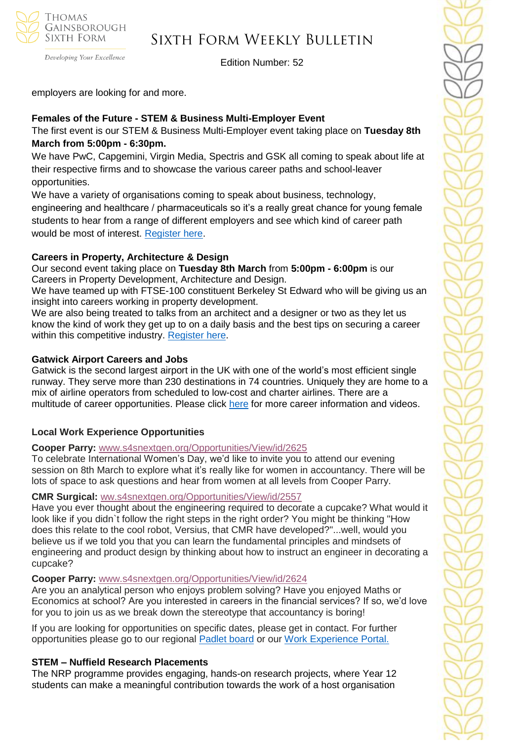

## Sixth Form Weekly Bulletin

Edition Number: 52

employers are looking for and more.

## **Females of the Future - STEM & Business Multi-Employer Event**

The first event is our STEM & Business Multi-Employer event taking place on **Tuesday 8th March from 5:00pm - 6:30pm.** 

We have PwC, Capgemini, Virgin Media, Spectris and GSK all coming to speak about life at their respective firms and to showcase the various career paths and school-leaver opportunities.

We have a variety of organisations coming to speak about business, technology, engineering and healthcare / pharmaceuticals so it's a really great chance for young female students to hear from a range of different employers and see which kind of career path would be most of interest. [Register here.](https://us02web.zoom.us/webinar/register/WN_CA8en91aRR6doqAufaxQVg)

## **Careers in Property, Architecture & Design**

Our second event taking place on **Tuesday 8th March** from **5:00pm - 6:00pm** is our Careers in Property Development, Architecture and Design.

We have teamed up with FTSE-100 constituent Berkeley St Edward who will be giving us an insight into careers working in property development.

We are also being treated to talks from an architect and a designer or two as they let us know the kind of work they get up to on a daily basis and the best tips on securing a career within this competitive industry. [Register](https://us02web.zoom.us/webinar/register/WN_19nKptZITNmlCEZHfL8x3A) here.

#### **Gatwick Airport Careers and Jobs**

Gatwick is the second largest airport in the UK with one of the world's most efficient single runway. They serve more than 230 destinations in 74 countries. Uniquely they are home to a mix of airline operators from scheduled to low-cost and charter airlines. There are a multitude of career opportunities. Please click [here](https://learnliveuk.com/partner/gatwick-airport-careers/) for more career information and videos.

## **Local Work Experience Opportunities**

## **Cooper Parry:** [www.s4snextgen.org/Opportunities/View/id/2625](https://emea01.safelinks.protection.outlook.com/?url=http%3A%2F%2Fwww.s4snextgen.org%2FOpportunities%2FView%2Fid%2F2625&data=04%7C01%7C%7C768101927a38480d544508d9e1093bad%7C84df9e7fe9f640afb435aaaaaaaaaaaa%7C1%7C0%7C637788252042419044%7CUnknown%7CTWFpbGZsb3d8eyJWIjoiMC4wLjAwMDAiLCJQIjoiV2luMzIiLCJBTiI6Ik1haWwiLCJXVCI6Mn0%3D%7C3000&sdata=cEBtISNnaEr21TtOkSWwc1uHUJg0lddjwGcC53iOnOY%3D&reserved=0)

To celebrate International Women's Day, we'd like to invite you to attend our evening session on 8th March to explore what it's really like for women in accountancy. There will be lots of space to ask questions and hear from women at all levels from Cooper Parry.

#### **CMR Surgical:** [ww.s4snextgen.org/Opportunities/View/id/2557](https://emea01.safelinks.protection.outlook.com/?url=http%3A%2F%2Fwww.s4snextgen.org%2FOpportunities%2FView%2Fid%2F2557&data=04%7C01%7C%7C768101927a38480d544508d9e1093bad%7C84df9e7fe9f640afb435aaaaaaaaaaaa%7C1%7C0%7C637788252042419044%7CUnknown%7CTWFpbGZsb3d8eyJWIjoiMC4wLjAwMDAiLCJQIjoiV2luMzIiLCJBTiI6Ik1haWwiLCJXVCI6Mn0%3D%7C3000&sdata=Kr%2Bgk3G3cSCBMCZXy9y5Y%2BPvrc05A4W4XgtsqUuXXDI%3D&reserved=0)

Have you ever thought about the engineering required to decorate a cupcake? What would it look like if you didn`t follow the right steps in the right order? You might be thinking "How does this relate to the cool robot, Versius, that CMR have developed?"...well, would you believe us if we told you that you can learn the fundamental principles and mindsets of engineering and product design by thinking about how to instruct an engineer in decorating a cupcake?

#### **Cooper Parry:** [www.s4snextgen.org/Opportunities/View/id/2624](https://emea01.safelinks.protection.outlook.com/?url=http%3A%2F%2Fwww.s4snextgen.org%2FOpportunities%2FView%2Fid%2F2624&data=04%7C01%7C%7C768101927a38480d544508d9e1093bad%7C84df9e7fe9f640afb435aaaaaaaaaaaa%7C1%7C0%7C637788252042419044%7CUnknown%7CTWFpbGZsb3d8eyJWIjoiMC4wLjAwMDAiLCJQIjoiV2luMzIiLCJBTiI6Ik1haWwiLCJXVCI6Mn0%3D%7C3000&sdata=N70IqMIVhddXg1hKGzPxo7mJpT38w90LCJaVEIPomC4%3D&reserved=0)

Are you an analytical person who enjoys problem solving? Have you enjoyed Maths or Economics at school? Are you interested in careers in the financial services? If so, we'd love for you to join us as we break down the stereotype that accountancy is boring!

If you are looking for opportunities on specific dates, please get in contact. For further opportunities please go to our regional **[Padlet](https://emea01.safelinks.protection.outlook.com/?url=https%3A%2F%2Fpadlet.com%2FSFSEast%2Fgexg5eu91pyzwt4j&data=04%7C01%7C%7C768101927a38480d544508d9e1093bad%7C84df9e7fe9f640afb435aaaaaaaaaaaa%7C1%7C0%7C637788252042419044%7CUnknown%7CTWFpbGZsb3d8eyJWIjoiMC4wLjAwMDAiLCJQIjoiV2luMzIiLCJBTiI6Ik1haWwiLCJXVCI6Mn0%3D%7C3000&sdata=X1r%2FNbQ0zg6qejulMgxSx39S0BtCd8vMLeO6k9Nb0tg%3D&reserved=0) board** or our Work [Experience](https://emea01.safelinks.protection.outlook.com/?url=https%3A%2F%2Fwww.s4snextgen.org%2F&data=04%7C01%7C%7C768101927a38480d544508d9e1093bad%7C84df9e7fe9f640afb435aaaaaaaaaaaa%7C1%7C0%7C637788252042419044%7CUnknown%7CTWFpbGZsb3d8eyJWIjoiMC4wLjAwMDAiLCJQIjoiV2luMzIiLCJBTiI6Ik1haWwiLCJXVCI6Mn0%3D%7C3000&sdata=ti0S6yewXyHWtGFbnSAHum5Rtiknezr33lZX65Uz19Q%3D&reserved=0) Portal.

## **STEM – Nuffield Research Placements**

The NRP programme provides engaging, hands-on research projects, where Year 12 students can make a meaningful contribution towards the work of a host organisation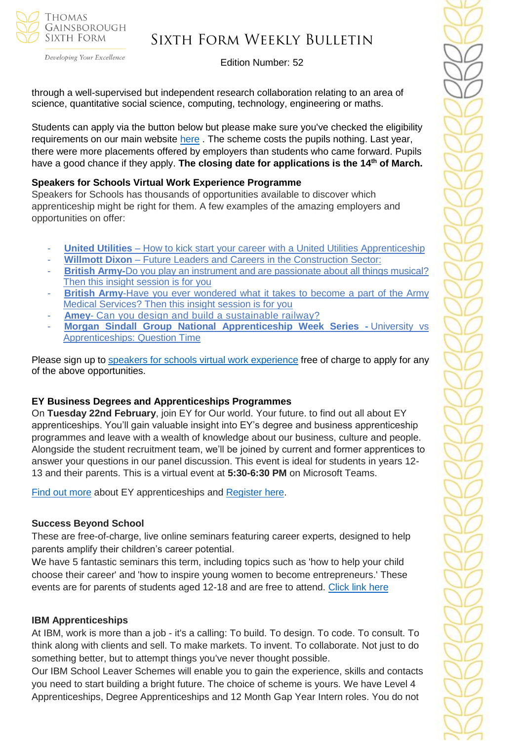

Developing Your Excellence

#### Edition Number: 52

through a well-supervised but independent research collaboration relating to an area of science, quantitative social science, computing, technology, engineering or maths.

Students can apply via the button below but please make sure you've checked the eligibility requirements on our main website [here](https://www.stem.org.uk/nuffield-research-placements). The scheme costs the pupils nothing. Last year, there were more placements offered by employers than students who came forward. Pupils have a good chance if they apply. **The closing date for applications is the 14th of March.**

#### **Speakers for Schools Virtual Work Experience Programme**

Speakers for Schools has thousands of opportunities available to discover which apprenticeship might be right for them. A few examples of the amazing employers and opportunities on offer:

- **United Utilities** How to kick start your career with a United Utilities [Apprenticeship](https://www.s4snextgen.org/Opportunities/View/id/2416)
- **Willmott Dixon** Future Leaders and Careers in the [Construction](https://www.s4snextgen.org/Opportunities/View/id/2536) Sector:
- **British Army-**Do you play an instrument and are [passionate](http://www.s4snextgen.org/Opportunities/View/id/2513) about all things musical? Then this insight [session](http://www.s4snextgen.org/Opportunities/View/id/2513) is for you
- **British Army-Have you ever [wondered](https://www.s4snextgen.org/Opportunities/View/id/2514) what it takes to become a part of the Army** Medical [Services?](https://www.s4snextgen.org/Opportunities/View/id/2514) Then this insight session is for you
- Amey- Can you design and build a [sustainable](http://www.s4snextgen.org/Opportunities/View/id/2189) railway?
- **Morgan Sindall Group National [Apprenticeship](http://www.s4snextgen.org/Opportunities/View/id/2506) Week Series -** University vs [Apprenticeships:](http://www.s4snextgen.org/Opportunities/View/id/2506) Question Time

Please sign up to speakers for schools virtual work [experience](https://www.speakersforschools.org/experience-2/) free of charge to apply for any of the above opportunities.

## **EY Business Degrees and Apprenticeships Programmes**

On **Tuesday 22nd February**, join EY for Our world. Your future. to find out all about EY apprenticeships. You'll gain valuable insight into EY's degree and business apprenticeship programmes and leave with a wealth of knowledge about our business, culture and people. Alongside the student recruitment team, we'll be joined by current and former apprentices to answer your questions in our panel discussion. This event is ideal for students in years 12- 13 and their parents. This is a virtual event at **5:30-6:30 PM** on Microsoft Teams.

[Find out more](https://www.ey.com/en_uk/careers/students/programmes/schools) about EY apprenticeships and [Register here.](https://forms.integrate-events.com/#/events/ey/327587?type=preregister&background=ffffff&font=2e2e38&page=2e2e38)

## **Success Beyond School**

These are free-of-charge, live online seminars featuring career experts, designed to help parents amplify their children's career potential.

We have 5 fantastic seminars this term, including topics such as 'how to help your child choose their career' and 'how to inspire young women to become entrepreneurs.' These events are for parents of students aged 12-18 and are free to attend. [Click link here](https://investin.org/pages/parent-events?mc_cid=9c80b43ed8&mc_eid=1348b989f1)

#### **IBM Apprenticeships**

At IBM, work is more than a job - it's a calling: To build. To design. To code. To consult. To think along with clients and sell. To make markets. To invent. To collaborate. Not just to do something better, but to attempt things you've never thought possible.

Our IBM School Leaver Schemes will enable you to gain the experience, skills and contacts you need to start building a bright future. The choice of scheme is yours. We have Level 4 Apprenticeships, Degree Apprenticeships and 12 Month Gap Year Intern roles. You do not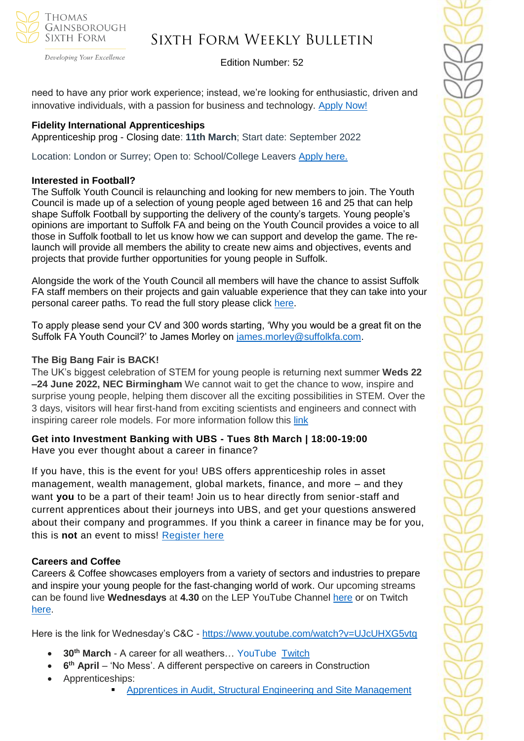

## Sixth Form Weekly Bulletin

Edition Number: 52

need to have any prior work experience; instead, we're looking for enthusiastic, driven and innovative individuals, with a passion for business and technology. [Apply Now!](https://www.ibm.com/uk-en/employment/entrylevel/?utm_source=Success+at+school+&utm_medium=Email+&utm_campaign=NAW+campaign+)

## **Fidelity International Apprenticeships**

Apprenticeship prog - Closing date: **11th March**; Start date: September 2022

Location: London or Surrey; Open to: School/College Leavers [Apply here.](https://www.investment2020.org.uk/latest-jobs/?_sft_job_type=school-college-leaver&_sfm_job_employer_link=3067&utm_campaign=3085671_NAW%20DITL%2007%2002%202021&utm_medium=email&utm_source=The%20Investment%20Association%20Service%20Limited&dm_i=2MCA,1U4X3,A34A8X,6DDHX,1)

## **Interested in Football?**

The Suffolk Youth Council is relaunching and looking for new members to join. The Youth Council is made up of a selection of young people aged between 16 and 25 that can help shape Suffolk Football by supporting the delivery of the county's targets. Young people's opinions are important to Suffolk FA and being on the Youth Council provides a voice to all those in Suffolk football to let us know how we can support and develop the game. The relaunch will provide all members the ability to create new aims and objectives, events and projects that provide further opportunities for young people in Suffolk.

Alongside the work of the Youth Council all members will have the chance to assist Suffolk FA staff members on their projects and gain valuable experience that they can take into your personal career paths. To read the full story please click [here.](https://www.suffolkfa.com/news/2022/feb/11/sfa-youth-council-is-relaunching)

To apply please send your CV and 300 words starting, 'Why you would be a great fit on the Suffolk FA Youth Council?' to James Morley on [james.morley@suffolkfa.com.](mailto:james.morley@suffolkfa.com)

## **The Big Bang Fair is BACK!**

The UK's biggest celebration of STEM for young people is returning next summer **Weds 22 –24 June 2022, NEC Birmingham** We cannot wait to get the chance to wow, inspire and surprise young people, helping them discover all the exciting possibilities in STEM. Over the 3 days, visitors will hear first-hand from exciting scientists and engineers and connect with inspiring career role models. For more information follow this [link](https://www.thebigbang.org.uk/)

**Get into Investment Banking with UBS - Tues 8th March | 18:00-19:00** Have you ever thought about a career in finance?

If you have, this is the event for you! UBS offers apprenticeship roles in asset management, wealth management, global markets, finance, and more – and they want **you** to be a part of their team! Join us to hear directly from senior-staff and current apprentices about their journeys into UBS, and get your questions answered about their company and programmes. If you think a career in finance may be for you, this is **not** an event to miss! [Register here](https://pathwayctm.com/events/ticket-type/?eid=34613&zid=82061917007&zt=Webinar(alt)&za=primary)

## **Careers and Coffee**

Careers & Coffee showcases employers from a variety of sectors and industries to prepare and inspire your young people for the fast-changing world of work. Our upcoming streams can be found live **Wednesdays** at **4.30** on the LEP YouTube Channel [here](https://emea01.safelinks.protection.outlook.com/?url=https%3A%2F%2Fwww.youtube.com%2Fchannel%2FUCMQWGt6SdsGQF-KJCq7JTwQ&data=04%7C01%7C%7C4c6c44ecc3fb4f20ff7908d9db3b3618%7C84df9e7fe9f640afb435aaaaaaaaaaaa%7C1%7C0%7C637781869767327633%7CUnknown%7CTWFpbGZsb3d8eyJWIjoiMC4wLjAwMDAiLCJQIjoiV2luMzIiLCJBTiI6Ik1haWwiLCJXVCI6Mn0%3D%7C3000&sdata=jcnjPssNA6CGryLNqRJMQzfb7UnLUOJ3WUdL%2FnQhejw%3D&reserved=0) or on Twitch [here.](https://emea01.safelinks.protection.outlook.com/?url=https%3A%2F%2Fwww.twitch.tv%2FNewAngliaEAN&data=04%7C01%7C%7C4c6c44ecc3fb4f20ff7908d9db3b3618%7C84df9e7fe9f640afb435aaaaaaaaaaaa%7C1%7C0%7C637781869767327633%7CUnknown%7CTWFpbGZsb3d8eyJWIjoiMC4wLjAwMDAiLCJQIjoiV2luMzIiLCJBTiI6Ik1haWwiLCJXVCI6Mn0%3D%7C3000&sdata=%2BC%2F2NVk7rCN9nN0gPB86AdBavn%2BdywBz%2FR1nbIo0XG8%3D&reserved=0)

Here is the link for Wednesday's C&C - [https://www.youtube.com/watch?v=UJcUHXG5vtg](https://emea01.safelinks.protection.outlook.com/?url=https%3A%2F%2Fwww.youtube.com%2Fwatch%3Fv%3DUJcUHXG5vtg&data=04%7C01%7C%7C4c6c44ecc3fb4f20ff7908d9db3b3618%7C84df9e7fe9f640afb435aaaaaaaaaaaa%7C1%7C0%7C637781869767327633%7CUnknown%7CTWFpbGZsb3d8eyJWIjoiMC4wLjAwMDAiLCJQIjoiV2luMzIiLCJBTiI6Ik1haWwiLCJXVCI6Mn0%3D%7C3000&sdata=QmwZMfWApfz3NYzqKGZdNMm6DnYKNSnpPCkWXQ5qlMw%3D&reserved=0)

- **30th March** A career for all weathers… YouTube [Twitch](https://emea01.safelinks.protection.outlook.com/?url=https%3A%2F%2Fwww.twitch.tv%2FNewAngliaEAN&data=04%7C01%7C%7C4c6c44ecc3fb4f20ff7908d9db3b3618%7C84df9e7fe9f640afb435aaaaaaaaaaaa%7C1%7C0%7C637781869767327633%7CUnknown%7CTWFpbGZsb3d8eyJWIjoiMC4wLjAwMDAiLCJQIjoiV2luMzIiLCJBTiI6Ik1haWwiLCJXVCI6Mn0%3D%7C3000&sdata=%2BC%2F2NVk7rCN9nN0gPB86AdBavn%2BdywBz%2FR1nbIo0XG8%3D&reserved=0)
- **6<sup>th</sup> April** 'No Mess'. A different perspective on careers in Construction
- Apprenticeships:
	- Apprentices in Audit, [Structural Engineering and Site Management](https://emea01.safelinks.protection.outlook.com/?url=https%3A%2F%2Fwww.youtube.com%2Fwatch%3Fv%3DbP28OaI_rog%26t%3D81s&data=04%7C01%7C%7C5109108ec3cc49416da408d9ebb534ac%7C84df9e7fe9f640afb435aaaaaaaaaaaa%7C1%7C0%7C637799986632681984%7CUnknown%7CTWFpbGZsb3d8eyJWIjoiMC4wLjAwMDAiLCJQIjoiV2luMzIiLCJBTiI6Ik1haWwiLCJXVCI6Mn0%3D%7C3000&sdata=8G1NNuPcwlxbhAXk1h1joPDO3UiT6van66qwpD8%2FoC4%3D&reserved=0)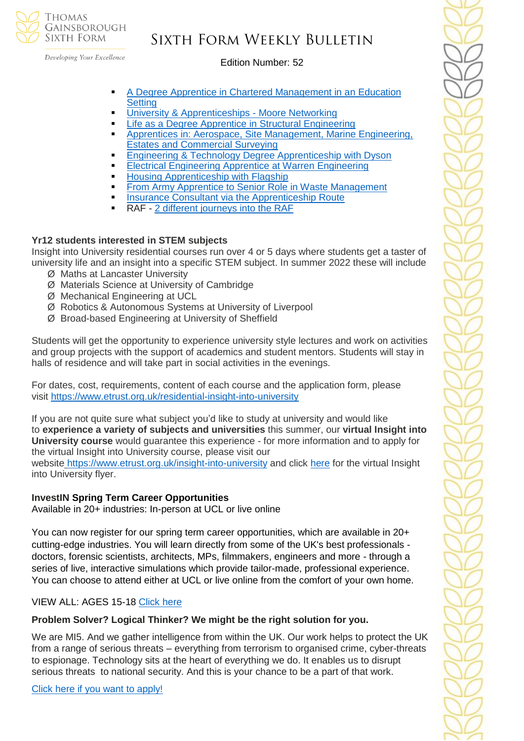

## Sixth Form Weekly Bulletin

Edition Number: 52

- A Degree Apprentice in Chartered Management in an Education **[Setting](https://emea01.safelinks.protection.outlook.com/?url=https%3A%2F%2Fwww.youtube.com%2Fwatch%3Fv%3DfQgNp9cnvsg%26t%3D531s&data=04%7C01%7C%7C5109108ec3cc49416da408d9ebb534ac%7C84df9e7fe9f640afb435aaaaaaaaaaaa%7C1%7C0%7C637799986632681984%7CUnknown%7CTWFpbGZsb3d8eyJWIjoiMC4wLjAwMDAiLCJQIjoiV2luMzIiLCJBTiI6Ik1haWwiLCJXVCI6Mn0%3D%7C3000&sdata=%2BM0O8t0PUKKlkrVXRi9QtjZpkmo2zeeXfNgMwmf%2FCnc%3D&reserved=0)**
- [University & Apprenticeships -](https://emea01.safelinks.protection.outlook.com/?url=https%3A%2F%2Fwww.youtube.com%2Fwatch%3Fv%3DZfxilCuhimc&data=04%7C01%7C%7C5109108ec3cc49416da408d9ebb534ac%7C84df9e7fe9f640afb435aaaaaaaaaaaa%7C1%7C0%7C637799986632681984%7CUnknown%7CTWFpbGZsb3d8eyJWIjoiMC4wLjAwMDAiLCJQIjoiV2luMzIiLCJBTiI6Ik1haWwiLCJXVCI6Mn0%3D%7C3000&sdata=L%2F30sHu2x11QFYLWN8pi2TeOCFYCNfigwlu983NCRhs%3D&reserved=0) Moore Networking
- [Life as a Degree Apprentice in Structural Engineering](https://emea01.safelinks.protection.outlook.com/?url=https%3A%2F%2Fwww.youtube.com%2Fwatch%3Fv%3Dptse61NxTv4&data=04%7C01%7C%7C5109108ec3cc49416da408d9ebb534ac%7C84df9e7fe9f640afb435aaaaaaaaaaaa%7C1%7C0%7C637799986632838206%7CUnknown%7CTWFpbGZsb3d8eyJWIjoiMC4wLjAwMDAiLCJQIjoiV2luMzIiLCJBTiI6Ik1haWwiLCJXVCI6Mn0%3D%7C3000&sdata=VtVFu9nMiv2JdT7sWfFLQzGzFktjw6M4iXyPGuo2Alg%3D&reserved=0)
- Apprentices in: Aerospace, Site Management, Marine Engineering, [Estates and Commercial Surveying](https://emea01.safelinks.protection.outlook.com/?url=https%3A%2F%2Fwww.youtube.com%2Fwatch%3Fv%3DqtRlq0ADx7o%26t%3D14s&data=04%7C01%7C%7C5109108ec3cc49416da408d9ebb534ac%7C84df9e7fe9f640afb435aaaaaaaaaaaa%7C1%7C0%7C637799986632838206%7CUnknown%7CTWFpbGZsb3d8eyJWIjoiMC4wLjAwMDAiLCJQIjoiV2luMzIiLCJBTiI6Ik1haWwiLCJXVCI6Mn0%3D%7C3000&sdata=Rt20B7Q8P5%2Fwbi40nfE3BySWts1iWqQxp0oebyRDpag%3D&reserved=0)
- **[Engineering & Technology Degree Apprenticeship with Dyson](https://emea01.safelinks.protection.outlook.com/?url=https%3A%2F%2Fwww.youtube.com%2Fwatch%3Fv%3DVtgI_wa7MGA&data=04%7C01%7C%7C5109108ec3cc49416da408d9ebb534ac%7C84df9e7fe9f640afb435aaaaaaaaaaaa%7C1%7C0%7C637799986632838206%7CUnknown%7CTWFpbGZsb3d8eyJWIjoiMC4wLjAwMDAiLCJQIjoiV2luMzIiLCJBTiI6Ik1haWwiLCJXVCI6Mn0%3D%7C3000&sdata=61EVH3iDqDdzqCKQOfA5bLklrKkfWvYy3D97DwV53mU%3D&reserved=0)**
- **[Electrical Engineering Apprentice at Warren Engineering](https://emea01.safelinks.protection.outlook.com/?url=https%3A%2F%2Fwww.youtube.com%2Fwatch%3Fv%3DIS8-9CnqSXo%26t%3D36s&data=04%7C01%7C%7C5109108ec3cc49416da408d9ebb534ac%7C84df9e7fe9f640afb435aaaaaaaaaaaa%7C1%7C0%7C637799986632838206%7CUnknown%7CTWFpbGZsb3d8eyJWIjoiMC4wLjAwMDAiLCJQIjoiV2luMzIiLCJBTiI6Ik1haWwiLCJXVCI6Mn0%3D%7C3000&sdata=cM7hsbe3eV%2BEP7xjNUcgPuTvpt3O4ntW%2BKsHUsqiOro%3D&reserved=0)**
- **[Housing Apprenticeship with Flagship](https://emea01.safelinks.protection.outlook.com/?url=https%3A%2F%2Fwww.youtube.com%2Fwatch%3Fv%3DOOMdZmDV96E%26t%3D28s&data=04%7C01%7C%7C5109108ec3cc49416da408d9ebb534ac%7C84df9e7fe9f640afb435aaaaaaaaaaaa%7C1%7C0%7C637799986632838206%7CUnknown%7CTWFpbGZsb3d8eyJWIjoiMC4wLjAwMDAiLCJQIjoiV2luMzIiLCJBTiI6Ik1haWwiLCJXVCI6Mn0%3D%7C3000&sdata=P6LHoz81YIvEyZHfyd5W%2FQ9SuCSSvCbR3%2F%2F%2Bc%2BiHlO8%3D&reserved=0)**
- **[From Army Apprentice to Senior Role in Waste Management](https://emea01.safelinks.protection.outlook.com/?url=https%3A%2F%2Fwww.youtube.com%2Fwatch%3Fv%3Dvzm3k193P9I&data=04%7C01%7C%7C5109108ec3cc49416da408d9ebb534ac%7C84df9e7fe9f640afb435aaaaaaaaaaaa%7C1%7C0%7C637799986632838206%7CUnknown%7CTWFpbGZsb3d8eyJWIjoiMC4wLjAwMDAiLCJQIjoiV2luMzIiLCJBTiI6Ik1haWwiLCJXVCI6Mn0%3D%7C3000&sdata=u9wunar3hAqC5aTfJTeVL8jFwD8oxVeVFRExKOCezbM%3D&reserved=0)**
- **[Insurance Consultant via the Apprenticeship Route](https://emea01.safelinks.protection.outlook.com/?url=https%3A%2F%2Fwww.youtube.com%2Fwatch%3Fv%3DUJcUHXG5vtg&data=04%7C01%7C%7C5109108ec3cc49416da408d9ebb534ac%7C84df9e7fe9f640afb435aaaaaaaaaaaa%7C1%7C0%7C637799986632838206%7CUnknown%7CTWFpbGZsb3d8eyJWIjoiMC4wLjAwMDAiLCJQIjoiV2luMzIiLCJBTiI6Ik1haWwiLCJXVCI6Mn0%3D%7C3000&sdata=N4Wuv30G8XH01kE4lhnmIHPw7j08tFxuXgq3Kb%2FelJE%3D&reserved=0)**
- RAF [2 different journeys into the RAF](https://emea01.safelinks.protection.outlook.com/?url=https%3A%2F%2Fwww.youtube.com%2Fwatch%3Fv%3DyterDdCZvDc&data=04%7C01%7C%7C5109108ec3cc49416da408d9ebb534ac%7C84df9e7fe9f640afb435aaaaaaaaaaaa%7C1%7C0%7C637799986632838206%7CUnknown%7CTWFpbGZsb3d8eyJWIjoiMC4wLjAwMDAiLCJQIjoiV2luMzIiLCJBTiI6Ik1haWwiLCJXVCI6Mn0%3D%7C3000&sdata=dhuzb6CyRYL52MzK43rw60TAHKzC0ZqyZpbNuWD4A2Y%3D&reserved=0)

#### **Yr12 students interested in STEM subjects**

Insight into University residential courses run over 4 or 5 days where students get a taster of university life and an insight into a specific STEM subject. In summer 2022 these will include

- Ø Maths at Lancaster University
- Ø Materials Science at University of Cambridge
- Ø Mechanical Engineering at UCL
- Ø Robotics & Autonomous Systems at University of Liverpool
- Ø Broad-based Engineering at University of Sheffield

Students will get the opportunity to experience university style lectures and work on activities and group projects with the support of academics and student mentors. Students will stay in halls of residence and will take part in social activities in the evenings.

For dates, cost, requirements, content of each course and the application form, please visit <https://www.etrust.org.uk/residential-insight-into-university>

If you are not quite sure what subject you'd like to study at university and would like to **experience a variety of subjects and universities** this summer, our **virtual Insight into University course** would guarantee this experience - for more information and to apply for the virtual Insight into University course, please visit our website <https://www.etrust.org.uk/insight-into-university> and click [here](https://dd233f6a-c442-4437-a8e1-9e42987b6020.filesusr.com/ugd/4517c8_fcb7add322ae4a1eab2156347e1f2442.pdf) for the virtual Insight into University flyer.

## **InvestIN Spring Term Career Opportunities**

Available in 20+ industries: In-person at UCL or live online

You can now register for our spring term career opportunities, which are available in 20+ cutting-edge industries. You will learn directly from some of the UK's best professionals doctors, forensic scientists, architects, MPs, filmmakers, engineers and more - through a series of live, interactive simulations which provide tailor-made, professional experience. You can choose to attend either at UCL or live online from the comfort of your own home.

## VIEW ALL: AGES 15-18 [Click here](https://investin.org/pages/spring-term-career-programmes-15-18?utm_source=UK+SCHOOLS+MASTER&utm_campaign=3b31a67736-bankersschoolmar_COPY_01&utm_medium=email&utm_term=0_bfccb03bbd-3b31a67736-137697031&mc_cid=3b31a67736&mc_eid=894e4199ae)

## **Problem Solver? Logical Thinker? We might be the right solution for you.**

We are MI5. And we gather intelligence from within the UK. Our work helps to protect the UK from a range of serious threats – everything from terrorism to organised crime, cyber-threats to espionage. Technology sits at the heart of everything we do. It enables us to disrupt serious threats to national security. And this is your chance to be a part of that work.

[Click here if you want to apply!](https://recruitmentservices.applicationtrack.com/vx/lang-en-GB/mobile-0/appcentre-1/brand-5/user-2637141/candidate/so/pm/1/pl/4/opp/2447?adhoc_referrer=544309827)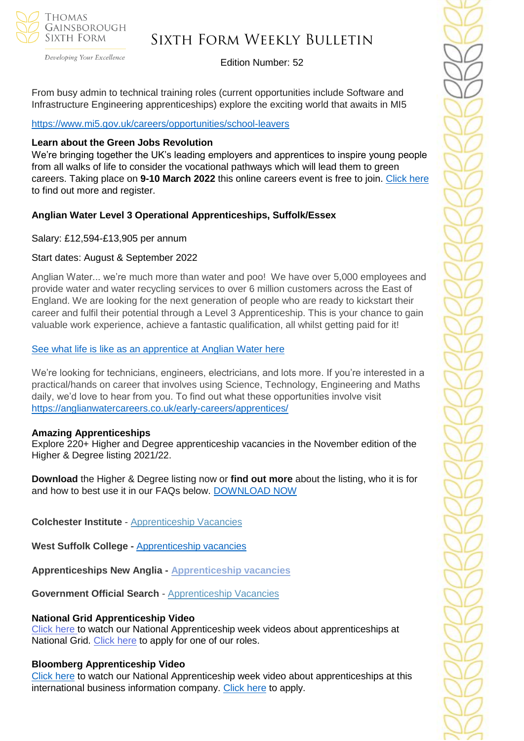

Developing Your Excellence

## Edition Number: 52

From busy admin to technical training roles (current opportunities include Software and Infrastructure Engineering apprenticeships) explore the exciting world that awaits in MI5

#### [https://www.mi5.gov.uk/careers/opportunities/school-leavers](https://emea01.safelinks.protection.outlook.com/?url=https%3A%2F%2Fwww.mi5.gov.uk%2Fcareers%2Fopportunities%2Fschool-leavers&data=04%7C01%7C%7Cc66eba9eb3f947cbd59408d9e0d9f0c2%7C84df9e7fe9f640afb435aaaaaaaaaaaa%7C1%7C0%7C637788048944962071%7CUnknown%7CTWFpbGZsb3d8eyJWIjoiMC4wLjAwMDAiLCJQIjoiV2luMzIiLCJBTiI6Ik1haWwiLCJXVCI6Mn0%3D%7C3000&sdata=RuQR14%2FCgrNgq9sikvv3JTr7AkvZ1KyExNIWpWf5yic%3D&reserved=0)

#### **Learn about the Green Jobs Revolution**

We're bringing together the UK's leading employers and apprentices to inspire young people from all walks of life to consider the vocational pathways which will lead them to green careers. Taking place on **9-10 March 2022** this online careers event is free to join. [Click here](https://www.worldskillsuk.org/careers-advice/spotlight-talks-inspiring-careers-excellence/?utm_source=MailChimp&utm_medium=Educator_email&utm_campaign=Spotlight&utm_source=WorldSkills+UK+Newsletter&utm_campaign=bb6aef8afc-EMAIL_CAMPAIGN_2019_12_10_03_37_COPY_01&utm_medium=email&utm_term=0_844496feda-bb6aef8afc-146077034) to find out more and register.

## **Anglian Water Level 3 Operational Apprenticeships, Suffolk/Essex**

Salary: £12,594-£13,905 per annum

#### Start dates: August & September 2022

Anglian Water... we're much more than water and poo! We have over 5,000 employees and provide water and water recycling services to over 6 million customers across the East of England. We are looking for the next generation of people who are ready to kickstart their career and fulfil their potential through a Level 3 Apprenticeship. This is your chance to gain valuable work experience, achieve a fantastic qualification, all whilst getting paid for it!

#### [See what life is like as an apprentice at Anglian](https://youtu.be/ocHab1ZNOjA) Water here

We're looking for technicians, engineers, electricians, and lots more. If you're interested in a practical/hands on career that involves using Science, Technology, Engineering and Maths daily, we'd love to hear from you. To find out what these opportunities involve visit <https://anglianwatercareers.co.uk/early-careers/apprentices/>

#### **Amazing Apprenticeships**

Explore 220+ Higher and Degree apprenticeship vacancies in the November edition of the Higher & Degree listing 2021/22.

**Download** the Higher & Degree listing now or **find out more** about the listing, who it is for and how to best use it in our FAQs below. [DOWNLOAD NOW](https://amazingapprenticeships.com/resource/higher-and-degree-listing/)

**Colchester Institute** - Apprenticeship Vacancies

**West Suffolk College -** [Apprenticeship vacancies](https://www.wsc.ac.uk/find-a-course/apprenticeships)

**Apprenticeships New Anglia - [Apprenticeship vacancies](https://www.apprenticeshipsnewanglia.co.uk/)**

**Government Official Search** - [Apprenticeship Vacancies](https://www.gov.uk/apply-apprenticeship)

## **National Grid Apprenticeship Video**

Click [here t](https://careermap.co.uk/video/naw2022-national-grid-shape-the-future-of-energy-with-national-grid/)o watch our National Apprenticeship week videos about apprenticeships at National Grid. [Click here](https://www.nationalapprenticeshipweek.co.uk/company/national-grid/) to apply for one of our roles.

#### **Bloomberg Apprenticeship Video**

[Click here](https://careermap.co.uk/video/naw2022-bloomberg-apprenticeships-at-bloomberg-how-to-submit-a-winning-application/) to watch our National Apprenticeship week video about apprenticeships at this international business information company. [Click here](https://www.nationalapprenticeshipweek.co.uk/company/bloomberg/) to apply.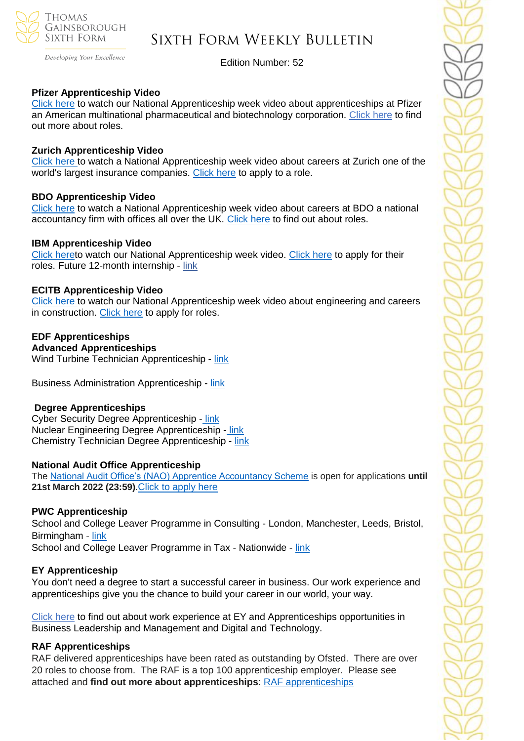

Developing Your Excellence

Edition Number: 52

#### **Pfizer Apprenticeship Video**

[Click](https://careermap.co.uk/video/naw2022-pfizer-join-our-apprenticeship-programme-and-make-a-difference/) here to watch our National Apprenticeship week video about apprenticeships at Pfizer an American multinational pharmaceutical and biotechnology corporation. [Click here](https://www.nationalapprenticeshipweek.co.uk/company/pfizer/) to find out more about roles.

#### **Zurich Apprenticeship Video**

[Click here t](https://careermap.co.uk/video/naw2022-zurich-apprenticeship-insight-session/)o watch a National Apprenticeship week video about careers at Zurich one of the world's largest insurance companies. [Click here](https://www.nationalapprenticeshipweek.co.uk/company/zurich/) to apply to a role.

#### **BDO Apprenticeship Video**

[Click here](https://careermap.co.uk/video/naw2022-bdo-unravelling-the-mysteries-of-accountancy-as-a-profession/) to watch a National Apprenticeship week video about careers at BDO a national accountancy firm with offices all over the UK. [Click here t](https://www.bdoearlyincareer.co.uk/apprenticeship/?utm_source=CareerMap&utm_medium=Profile&utm_campaign=33_3951_EarlyCareers21-22&utm_term=1x1&utm_content=SchoolLeaver_EmployerProfile)o find out about roles.

#### **IBM Apprenticeship Video**

[Click heret](https://careermap.co.uk/video/naw2022-ibm-discover-apprenticeships-at-ibm/)o watch our National Apprenticeship week video. [Click here](https://www.nationalapprenticeshipweek.co.uk/company/ibm/) to apply for their roles. Future 12-month internship - [link](https://successatschool.us3.list-manage.com/track/click?u=2c038531b25876a2c7c9cf8b1&id=a77a2d64dd&e=530f418f3c)

#### **ECITB Apprenticeship Video**

[Click here t](https://careermap.co.uk/video/naw2022-ecitb-careers-in-engineering-construction-engineering-the-future/)o watch our National Apprenticeship week video about engineering and careers in construction. [Click here](https://www.nationalapprenticeshipweek.co.uk/company/ecitb/) to apply for roles.

## **EDF Apprenticeships**

**Advanced Apprenticeships** Wind Turbine Technician Apprenticeship - [link](https://successatschool.us3.list-manage.com/track/click?u=2c038531b25876a2c7c9cf8b1&id=23cc398a82&e=530f418f3c)

Business Administration Apprenticeship - [link](https://successatschool.us3.list-manage.com/track/click?u=2c038531b25876a2c7c9cf8b1&id=913e6195c6&e=530f418f3c)

#### **Degree Apprenticeships**

Cyber Security Degree Apprenticeship [-](https://successatschool.us3.list-manage.com/track/click?u=2c038531b25876a2c7c9cf8b1&id=7600050546&e=530f418f3c) [link](https://successatschool.us3.list-manage.com/track/click?u=2c038531b25876a2c7c9cf8b1&id=e8dfed7191&e=530f418f3c) Nuclear Engineering Degree Apprenticeship - [link](https://successatschool.us3.list-manage.com/track/click?u=2c038531b25876a2c7c9cf8b1&id=b2a0f62f03&e=530f418f3c) Chemistry Technician Degree Apprenticeship - [link](https://successatschool.us3.list-manage.com/track/click?u=2c038531b25876a2c7c9cf8b1&id=6c0fd2d406&e=530f418f3c)

#### **National Audit Office Apprenticeship**

The [National Audit Office's \(NAO\) Apprentice Accountancy Scheme](https://nam12.safelinks.protection.outlook.com/?url=https%3A%2F%2Fsuccessatschool.us3.list-manage.com%2Ftrack%2Fclick%3Fu%3D2c038531b25876a2c7c9cf8b1%26id%3D7d31aee542%26e%3D530f418f3c&data=04%7C01%7C%7Ce20f21983b15418e040508d9faa77d5e%7C84df9e7fe9f640afb435aaaaaaaaaaaa%7C1%7C0%7C637816419545507260%7CUnknown%7CTWFpbGZsb3d8eyJWIjoiMC4wLjAwMDAiLCJQIjoiV2luMzIiLCJBTiI6Ik1haWwiLCJXVCI6Mn0%3D%7C3000&sdata=JV9WYVsLMKhmyVlguVlBhqXVN%2BRAvZFr9pO4GpwEETQ%3D&reserved=0) is open for applications **until 21st March 2022 (23:59)**.[Click to apply here](https://successatschool.org/jobandcoursedetail/744/NAO-Accountancy-Apprenticeship-2022?goal=0_65c6d67e71-f5ea1df638-212136547&mc_cid=f5ea1df638&mc_eid=530f418f3c)

#### **PWC Apprenticeship**

School and College Leaver Programme in Consulting - London, Manchester, Leeds, Bristol, Birmingham - [link](https://emea01.safelinks.protection.outlook.com/?url=https%3A%2F%2Fsuccessatschool.us3.list-manage.com%2Ftrack%2Fclick%3Fu%3D2c038531b25876a2c7c9cf8b1%26id%3D7c785a403a%26e%3D530f418f3c&data=04%7C01%7C%7C945e830acdbc408b2c5908d9ef9bf91d%7C84df9e7fe9f640afb435aaaaaaaaaaaa%7C1%7C0%7C637804275456334636%7CUnknown%7CTWFpbGZsb3d8eyJWIjoiMC4wLjAwMDAiLCJQIjoiV2luMzIiLCJBTiI6Ik1haWwiLCJXVCI6Mn0%3D%7C3000&sdata=oyMYuDD20pYYYgBCkbj7h8Goi5rCEf3uGHspKO90PR8%3D&reserved=0)

School and College Leaver Programme in Tax - Nationwide - [link](https://emea01.safelinks.protection.outlook.com/?url=https%3A%2F%2Fsuccessatschool.us3.list-manage.com%2Ftrack%2Fclick%3Fu%3D2c038531b25876a2c7c9cf8b1%26id%3Dd7fb685283%26e%3D530f418f3c&data=04%7C01%7C%7C945e830acdbc408b2c5908d9ef9bf91d%7C84df9e7fe9f640afb435aaaaaaaaaaaa%7C1%7C0%7C637804275456490872%7CUnknown%7CTWFpbGZsb3d8eyJWIjoiMC4wLjAwMDAiLCJQIjoiV2luMzIiLCJBTiI6Ik1haWwiLCJXVCI6Mn0%3D%7C3000&sdata=gRswlE1zBGH%2B8Jf5qjxjt%2FcJg3R3aW9xfEtIvqfNwqc%3D&reserved=0)

#### **EY Apprenticeship**

You don't need a degree to start a successful career in business. Our work experience and apprenticeships give you the chance to build your career in our world, your way.

[Click here](https://www.ey.com/en_uk/careers/students/programmes/schools) to find out about work experience at EY and Apprenticeships opportunities in Business Leadership and Management and Digital and Technology.

#### **RAF Apprenticeships**

RAF delivered apprenticeships have been rated as outstanding by Ofsted. There are over 20 roles to choose from. The RAF is a top 100 apprenticeship employer. Please see attached and **find out more about apprenticeships**: [RAF apprenticeships](https://emea01.safelinks.protection.outlook.com/?url=https%3A%2F%2Fwww.raf.mod.uk%2Frecruitment%2Fapprenticeships%3Fgclid%3DEAIaIQobChMI1cvZo8PA9QIVbY1oCR3MZAJNEAAYASABEgI5UfD_BwE%26gclsrc%3Daw.ds&data=04%7C01%7C%7C5109108ec3cc49416da408d9ebb534ac%7C84df9e7fe9f640afb435aaaaaaaaaaaa%7C1%7C0%7C637799986632838206%7CUnknown%7CTWFpbGZsb3d8eyJWIjoiMC4wLjAwMDAiLCJQIjoiV2luMzIiLCJBTiI6Ik1haWwiLCJXVCI6Mn0%3D%7C3000&sdata=ExujmUorbCroA4%2Frvg%2FHpfc6sCVupSMvUGFLEGnaUR0%3D&reserved=0)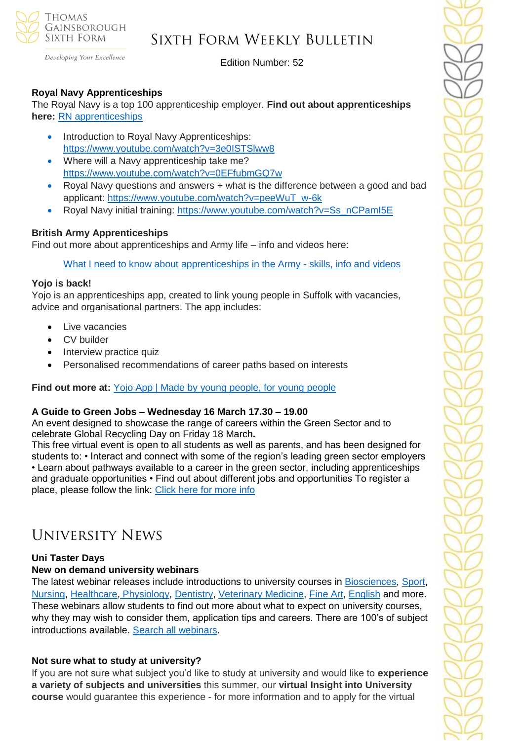

Developing Your Excellence

Edition Number: 52

## **Royal Navy Apprenticeships**

The Royal Navy is a top 100 apprenticeship employer. **Find out about apprenticeships here:** [RN apprenticeships](https://emea01.safelinks.protection.outlook.com/?url=https%3A%2F%2Fwww.royalnavy.mod.uk%2Fcareers%2Flevels-of-entry%2Fapprenticeships%3Fgclid%3DEAIaIQobChMIweOegL_A9QIVEbLVCh0cwgsZEAAYASAAEgKRdPD_BwE%26gclsrc%3Daw.ds&data=04%7C01%7C%7C5109108ec3cc49416da408d9ebb534ac%7C84df9e7fe9f640afb435aaaaaaaaaaaa%7C1%7C0%7C637799986632838206%7CUnknown%7CTWFpbGZsb3d8eyJWIjoiMC4wLjAwMDAiLCJQIjoiV2luMzIiLCJBTiI6Ik1haWwiLCJXVCI6Mn0%3D%7C3000&sdata=3iUqBAmY7e2FIP9AZdHQDXerElShM9IMu8nrXRs25rY%3D&reserved=0)

- Introduction to Royal Navy Apprenticeships: [https://www.youtube.com/watch?v=3e0ISTSlww8](https://emea01.safelinks.protection.outlook.com/?url=https%3A%2F%2Fwww.youtube.com%2Fwatch%3Fv%3D3e0ISTSlww8&data=04%7C01%7C%7C5109108ec3cc49416da408d9ebb534ac%7C84df9e7fe9f640afb435aaaaaaaaaaaa%7C1%7C0%7C637799986632838206%7CUnknown%7CTWFpbGZsb3d8eyJWIjoiMC4wLjAwMDAiLCJQIjoiV2luMzIiLCJBTiI6Ik1haWwiLCJXVCI6Mn0%3D%7C3000&sdata=bObS9LxuGK0QUPjFipc7TpgbhS%2FBOj3jh2A0zMqcpqc%3D&reserved=0)
- Where will a Navy apprenticeship take me? [https://www.youtube.com/watch?v=0EFfubmGQ7w](https://emea01.safelinks.protection.outlook.com/?url=https%3A%2F%2Fwww.youtube.com%2Fwatch%3Fv%3D0EFfubmGQ7w&data=04%7C01%7C%7C5109108ec3cc49416da408d9ebb534ac%7C84df9e7fe9f640afb435aaaaaaaaaaaa%7C1%7C0%7C637799986632838206%7CUnknown%7CTWFpbGZsb3d8eyJWIjoiMC4wLjAwMDAiLCJQIjoiV2luMzIiLCJBTiI6Ik1haWwiLCJXVCI6Mn0%3D%7C3000&sdata=unRpMJbduJcQdr3btz8biYwvP59f4daMiPwJ%2Bi5f1l4%3D&reserved=0)
- Royal Navy questions and answers + what is the difference between a good and bad applicant: [https://www.youtube.com/watch?v=peeWuT\\_w-6k](https://emea01.safelinks.protection.outlook.com/?url=https%3A%2F%2Fwww.youtube.com%2Fwatch%3Fv%3DpeeWuT_w-6k&data=04%7C01%7C%7C5109108ec3cc49416da408d9ebb534ac%7C84df9e7fe9f640afb435aaaaaaaaaaaa%7C1%7C0%7C637799986632838206%7CUnknown%7CTWFpbGZsb3d8eyJWIjoiMC4wLjAwMDAiLCJQIjoiV2luMzIiLCJBTiI6Ik1haWwiLCJXVCI6Mn0%3D%7C3000&sdata=2CZHRBVpKndnzKkDF6KbQ8wW5Z6Iu%2BZZ8Fd1oGR8GtI%3D&reserved=0)
- Royal Navy initial training: [https://www.youtube.com/watch?v=Ss\\_nCPamI5E](https://emea01.safelinks.protection.outlook.com/?url=https%3A%2F%2Fwww.youtube.com%2Fwatch%3Fv%3DSs_nCPamI5E&data=04%7C01%7C%7C5109108ec3cc49416da408d9ebb534ac%7C84df9e7fe9f640afb435aaaaaaaaaaaa%7C1%7C0%7C637799986632838206%7CUnknown%7CTWFpbGZsb3d8eyJWIjoiMC4wLjAwMDAiLCJQIjoiV2luMzIiLCJBTiI6Ik1haWwiLCJXVCI6Mn0%3D%7C3000&sdata=AjVp0aAK2oQdjC%2FQkMw1gViAgihXQxUPXqu65KkTD%2Bg%3D&reserved=0)

## **British Army Apprenticeships**

Find out more about apprenticeships and Army life – info and videos here:

[What I need to know about apprenticeships in the Army -](https://emea01.safelinks.protection.outlook.com/?url=https%3A%2F%2Fapply.army.mod.uk%2Fwhat-we-offer%2Fregular-soldier%2Fapprenticeships-and-skills%3Fgclid%3DEAIaIQobChMI24eTtcTA9QIV5ZBoCR224Q3kEAAYASAAEgJOw_D_BwE%26cid%3Dsemp8317730851%26ef_id%3DEAIaIQobChMI24eTtcTA9QIV5ZBoCR224Q3kEAAYASAAEgJOw_D_BwE%253aG%253as%26s_kwcid%3DAL!8141!3!356143047273!e!!g!!army%2Bapprenticeships%26gclsrc%3Daw.ds&data=04%7C01%7C%7C5109108ec3cc49416da408d9ebb534ac%7C84df9e7fe9f640afb435aaaaaaaaaaaa%7C1%7C0%7C637799986632838206%7CUnknown%7CTWFpbGZsb3d8eyJWIjoiMC4wLjAwMDAiLCJQIjoiV2luMzIiLCJBTiI6Ik1haWwiLCJXVCI6Mn0%3D%7C3000&sdata=ZqD8QVwxA%2BUaYNDhUEGh51KEidvcgWyumZ8S4oiCHmU%3D&reserved=0) skills, info and videos

## **Yojo is back!**

Yojo is an apprenticeships app, created to link young people in Suffolk with vacancies, advice and organisational partners. The app includes:

- Live vacancies
- CV builder
- Interview practice quiz
- Personalised recommendations of career paths based on interests

**Find out more at:** [Yojo App | Made by young people, for young people](https://emea01.safelinks.protection.outlook.com/?url=https%3A%2F%2Fyojoapp.co.uk%2F&data=04%7C01%7C%7C4c6c44ecc3fb4f20ff7908d9db3b3618%7C84df9e7fe9f640afb435aaaaaaaaaaaa%7C1%7C0%7C637781869767483855%7CUnknown%7CTWFpbGZsb3d8eyJWIjoiMC4wLjAwMDAiLCJQIjoiV2luMzIiLCJBTiI6Ik1haWwiLCJXVCI6Mn0%3D%7C3000&sdata=9WtYUB305aPkl6q46VQFnWxhGcaNixIyQ7zb9qHytQc%3D&reserved=0)

#### **A Guide to Green Jobs – Wednesday 16 March 17.30 – 19.00**

An event designed to showcase the range of careers within the Green Sector and to celebrate Global Recycling Day on Friday 18 March**.** 

This free virtual event is open to all students as well as parents, and has been designed for students to: • Interact and connect with some of the region's leading green sector employers • Learn about pathways available to a career in the green sector, including apprenticeships and graduate opportunities • Find out about different jobs and opportunities To register a place, please follow the link: [Click here](https://emea01.safelinks.protection.outlook.com/?url=https%3A%2F%2Fbit.ly%2FFtFInsights7&data=04%7C01%7C%7C9127bcae865c4c677a8908d9ef9bcecd%7C84df9e7fe9f640afb435aaaaaaaaaaaa%7C1%7C0%7C637804274739921040%7CUnknown%7CTWFpbGZsb3d8eyJWIjoiMC4wLjAwMDAiLCJQIjoiV2luMzIiLCJBTiI6Ik1haWwiLCJXVCI6Mn0%3D%7C3000&sdata=vnRS2zEv%2BugMmqsrhENaYNiF6p2I2xWlUfd08Rjng%2BU%3D&reserved=0) for more info

## University News

## **Uni Taster Days**

#### **New on demand university webinars**

The latest webinar releases include introductions to university courses in [Biosciences,](https://www.unitasterdays.com/ondemand/webinar/161/a-guide-to-studying-biosciences-courses-at-university-which-bioscience-course-is-right-for-you-featuring-coventry-university) [Sport,](https://www.unitasterdays.com/ondemand/webinar/160/studying-sport-courses-at-university-which-sport-course-is-right-for-you-a-guide-to-the-key-courses-on-offer-in-the-sport-subject-area-featuring-coventry-university) [Nursing,](https://www.unitasterdays.com/ondemand/webinar/159/a-guide-to-studying-nursing-at-university-and-training-for-a-nursing-career-what-to-expect-application-tips-and-more-featuring-the-university-of-lincoln) [Healthcare,](https://www.unitasterdays.com/ondemand/webinar/158/a-guide-to-studying-healthcare-science-and-ophthalmic-imaging-at-university-featuring-the-university-of-gloucestershire-and-gloucestershire-hospitals-nhs-foundation-trust) [Physiology,](https://www.unitasterdays.com/ondemand/webinar/145/a-guide-to-studying-physiology-at-university-including-what-to-expect-reasons-to-consider-the-subject-area-and-a-careers-overview-featuring-manchester-metropolitan-university) [Dentistry, Veterinary Medicine,](https://www.unitasterdays.com/ondemand/webinar/151/a-guide-to-studying-dentistry-at-university-including-what-to-expect-a-guide-to-opportunities-in-dentistry-application-tips-and-more-featuring-the-university-of-leeds) [Fine Art,](https://www.unitasterdays.com/ondemand/webinar/156/a-guide-to-studying-fine-art-at-university-including-what-to-expect-application-tips-inc-portfolios-and-a-careers-overview-featuring-plymouth-college-of-art) [English](https://www.unitasterdays.com/ondemand/webinar/144/a-guide-to-studying-english-at-university-including-what-to-expect-application-tips-and-future-career-opportunities-featuring-city-university-of-london) and more. These webinars allow students to find out more about what to expect on university courses, why they may wish to consider them, application tips and careers. There are 100's of subject introductions available. [Search all webinars.](https://www.unitasterdays.com/ondemand)

## **Not sure what to study at university?**

If you are not sure what subject you'd like to study at university and would like to **experience a variety of subjects and universities** this summer, our **virtual Insight into University course** would guarantee this experience - for more information and to apply for the virtual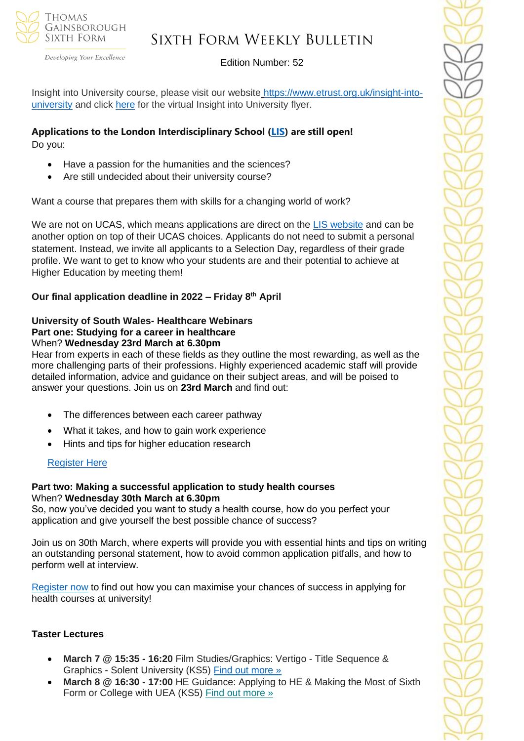

Developing Your Excellence

#### Edition Number: 52

Insight into University course, please visit our website [https://www.etrust.org.uk/insight-into](https://www.etrust.org.uk/insight-into-university)[university](https://www.etrust.org.uk/insight-into-university) and click [here](https://dd233f6a-c442-4437-a8e1-9e42987b6020.filesusr.com/ugd/4517c8_fcb7add322ae4a1eab2156347e1f2442.pdf) for the virtual Insight into University flyer.

#### **Applications to the London Interdisciplinary School [\(LIS\)](https://emea01.safelinks.protection.outlook.com/?url=https%3A%2F%2Fschools.tecl.co.uk%2Feducationcompany5lz%2Flz.aspx%3Fp1%3DMuzDU3NjA0MjA1Uzk0NzE6NkYwQjdEMTg3QzdEMTdCODZFRjcxMENBNDUyNEYwN0M%253d-%26CC%3D%26w%3D5511&data=04%7C01%7C%7C39fcd5037de64b1f134108d9db3b46e6%7C84df9e7fe9f640afb435aaaaaaaaaaaa%7C1%7C0%7C637781869903019097%7CUnknown%7CTWFpbGZsb3d8eyJWIjoiMC4wLjAwMDAiLCJQIjoiV2luMzIiLCJBTiI6Ik1haWwiLCJXVCI6Mn0%3D%7C3000&sdata=pgQvu53gpi%2Fe%2F8%2BCNPs9L2gikEtVgERhZ9O0%2FbkIqeQ%3D&reserved=0) are still open!** Do you:

- Have a passion for the humanities and the sciences?
- Are still undecided about their university course?

Want a course that prepares them with skills for a changing world of work?

We are not on UCAS, which means applications are direct on the **LIS** website and can be another option on top of their UCAS choices. Applicants do not need to submit a personal statement. Instead, we invite all applicants to a Selection Day, regardless of their grade profile. We want to get to know who your students are and their potential to achieve at Higher Education by meeting them!

**Our final application deadline in 2022 – Friday 8th April**

#### **University of South Wales- Healthcare Webinars Part one: Studying for a career in healthcare** When? **Wednesday 23rd March at 6.30pm**

Hear from experts in each of these fields as they outline the most rewarding, as well as the more challenging parts of their professions. Highly experienced academic staff will provide detailed information, advice and guidance on their subject areas, and will be poised to answer your questions. Join us on **23rd March** and find out:

- The differences between each career pathway
- What it takes, and how to gain work experience
- Hints and tips for higher education research

## [Register Here](https://www.eventbrite.co.uk/e/studying-for-a-career-in-healthcare-with-the-university-of-south-wales-tickets-261788595737?aff=odeimcmailchimp&mc_cid=3f24ca3fc0&mc_eid=530f418f3c&goal=0_65c6d67e71-3f24ca3fc0-212136547)

#### **Part two: Making a successful application to study health courses** When? **Wednesday 30th March at 6.30pm**

So, now you've decided you want to study a health course, how do you perfect your application and give yourself the best possible chance of success?

Join us on 30th March, where experts will provide you with essential hints and tips on writing an outstanding personal statement, how to avoid common application pitfalls, and how to perform well at interview.

[Register now](https://www.eventbrite.co.uk/e/making-a-successful-application-to-study-health-courses-tickets-261811153207?aff=odeimcmailchimp&mc_cid=3f24ca3fc0&mc_eid=530f418f3c&goal=0_65c6d67e71-3f24ca3fc0-212136547) to find out how you can maximise your chances of success in applying for health courses at university!

## **Taster Lectures**

- **March 7 @ 15:35 - 16:20** Film Studies/Graphics: Vertigo Title Sequence & Graphics - Solent University (KS5) [Find out more »](https://emea01.safelinks.protection.outlook.com/?url=https%3A%2F%2Fchanneltalent.us10.list-manage.com%2Ftrack%2Fclick%3Fu%3D145837fa6843e0c349598322a%26id%3D1f7ca06635%26e%3Dba0e9a2959&data=04%7C01%7C%7Ca6d2637371c74bb54e3a08d9ebbb190c%7C84df9e7fe9f640afb435aaaaaaaaaaaa%7C1%7C0%7C637800011102113554%7CUnknown%7CTWFpbGZsb3d8eyJWIjoiMC4wLjAwMDAiLCJQIjoiV2luMzIiLCJBTiI6Ik1haWwiLCJXVCI6Mn0%3D%7C3000&sdata=qbnM65V8Dku9kakcaxkE7wzvuybP%2FIL2MgMLF%2B6dky4%3D&reserved=0)
- **March 8 @ 16:30 - 17:00** HE Guidance: Applying to HE & Making the Most of Sixth Form or College with UEA (KS5) Find out [more](https://channeltalent.us10.list-manage.com/track/click?u=145837fa6843e0c349598322a&id=422871e59f&e=155232616c) »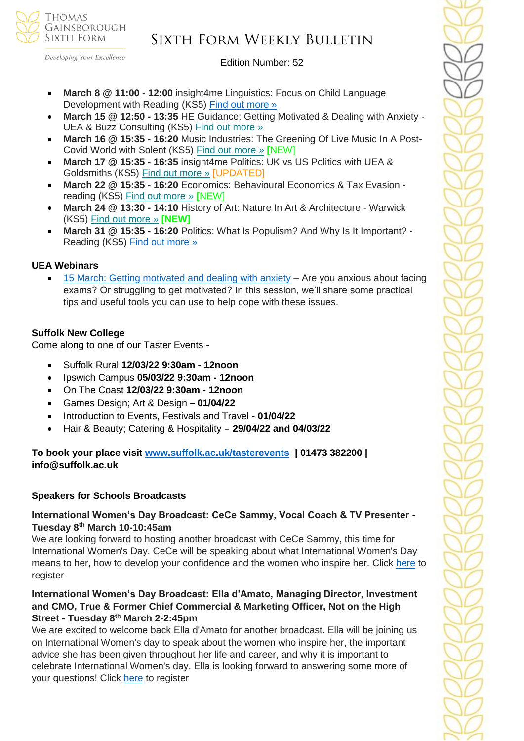

## Sixth Form Weekly Bulletin

Edition Number: 52

- **March 8 @ 11:00 - 12:00** insight4me Linguistics: Focus on Child Language Development with Reading (KS5) [Find out more »](https://emea01.safelinks.protection.outlook.com/?url=https%3A%2F%2Fchanneltalent.us10.list-manage.com%2Ftrack%2Fclick%3Fu%3D145837fa6843e0c349598322a%26id%3De9685e096e%26e%3D155232616c&data=04%7C01%7C%7C480b1571c5d44caf8ef208d9eba89a6d%7C84df9e7fe9f640afb435aaaaaaaaaaaa%7C1%7C0%7C637799931648476298%7CUnknown%7CTWFpbGZsb3d8eyJWIjoiMC4wLjAwMDAiLCJQIjoiV2luMzIiLCJBTiI6Ik1haWwiLCJXVCI6Mn0%3D%7C3000&sdata=WTgAdrQkX1lGIoupJ3C9raoBowEDIo0pglPmCG5H8fM%3D&reserved=0)
- **March 15 @ 12:50 - 13:35** HE Guidance: Getting Motivated & Dealing with Anxiety UEA & Buzz Consulting (KS5) Find out [more](https://channeltalent.us10.list-manage.com/track/click?u=145837fa6843e0c349598322a&id=63dd3662e5&e=155232616c) »
- **March 16 @ 15:35 - 16:20** Music Industries: The Greening Of Live Music In A Post-Covid World with Solent (KS5) Find out [more](https://channeltalent.us10.list-manage.com/track/click?u=145837fa6843e0c349598322a&id=784fc7644d&e=ba0e9a2959) » **[**NEW]
- **March 17 @ 15:35 - 16:35** insight4me Politics: UK vs US Politics with UEA & Goldsmiths (KS5) Find out [more](https://channeltalent.us10.list-manage.com/track/click?u=145837fa6843e0c349598322a&id=6a2f7f7556&e=ba0e9a2959) » **[**UPDATED]
- **March 22 @ 15:35 - 16:20** Economics: Behavioural Economics & Tax Evasion reading (KS5) Find out [more](https://channeltalent.us10.list-manage.com/track/click?u=145837fa6843e0c349598322a&id=59b8c8a6ec&e=155232616c) » **[**NEW]
- **March 24 @ 13:30 - 14:10** History of Art: Nature In Art & Architecture Warwick (KS5) Find out [more](https://channeltalent.us10.list-manage.com/track/click?u=145837fa6843e0c349598322a&id=2bef70bede&e=155232616c) » **[NEW]**
- **March 31 @ 15:35 - 16:20** Politics: What Is Populism? And Why Is It Important? Reading (KS5) Find out [more](https://channeltalent.us10.list-manage.com/track/click?u=145837fa6843e0c349598322a&id=fe3745d130&e=ba0e9a2959) »

## **UEA Webinars**

• [15 March: Getting motivated and dealing with anxiety](https://emea01.safelinks.protection.outlook.com/?url=https%3A%2F%2Fwww.channeltalent.co.uk%2Fevent%2Fhe-guidance-life-skills-for-getting-motivated-dealing-with-anxiety-with-university-of-east-anglia-dr-dominique-thompson-from-buzz-consulting-2%2F&data=04%7C01%7C%7C83f95f83e5d24573615008d9e4bd2998%7C84df9e7fe9f640afb435aaaaaaaaaaaa%7C1%7C0%7C637792323367442316%7CUnknown%7CTWFpbGZsb3d8eyJWIjoiMC4wLjAwMDAiLCJQIjoiV2luMzIiLCJBTiI6Ik1haWwiLCJXVCI6Mn0%3D%7C3000&sdata=LimvKahfg1TmoNHNNcIpJ%2BZOLj5QPSGFj2q4Ss0y2oA%3D&reserved=0) – Are you anxious about facing exams? Or struggling to get motivated? In this session, we'll share some practical tips and useful tools you can use to help cope with these issues.

#### **Suffolk New College**

Come along to one of our Taster Events -

- Suffolk Rural **12/03/22 9:30am - 12noon**
	- Ipswich Campus **05/03/22 9:30am - 12noon**
	- On The Coast **12/03/22 9:30am - 12noon**
	- Games Design; Art & Design **01/04/22**
	- Introduction to Events, Festivals and Travel **01/04/22**
	- Hair & Beauty; Catering & Hospitality **29/04/22 and 04/03/22**

**To book your place visit [www.suffolk.ac.uk/tasterevents](http://www.suffolk.ac.uk/tasterevents) | 01473 382200 | info@suffolk.ac.uk** 

#### **Speakers for Schools Broadcasts**

## **International Women's Day Broadcast: CeCe Sammy, Vocal Coach & TV Presenter** - **Tuesday 8th March 10-10:45am**

We are looking forward to hosting another broadcast with CeCe Sammy, this time for International Women's Day. CeCe will be speaking about what International Women's Day means to her, how to develop your confidence and the women who inspire her. Click [here](https://emea01.safelinks.protection.outlook.com/?url=https%3A%2F%2Fforms.office.com%2Fr%2FYqfFapgCyZ&data=04%7C01%7C%7Ccc49b0041dfb426e905a08d9e6480081%7C84df9e7fe9f640afb435aaaaaaaaaaaa%7C1%7C0%7C637794019213869437%7CUnknown%7CTWFpbGZsb3d8eyJWIjoiMC4wLjAwMDAiLCJQIjoiV2luMzIiLCJBTiI6Ik1haWwiLCJXVCI6Mn0%3D%7C3000&sdata=sTyERrJthQBQB6Tg778klpM65TbUA7peM%2BXVXa9SaS4%3D&reserved=0) to register

## **International Women's Day Broadcast: Ella d'Amato, Managing Director, Investment and CMO, True & Former Chief Commercial & Marketing Officer, Not on the High Street - Tuesday 8th March 2-2:45pm**

We are excited to welcome back Ella d'Amato for another broadcast. Ella will be joining us on International Women's day to speak about the women who inspire her, the important advice she has been given throughout her life and career, and why it is important to celebrate International Women's day. Ella is looking forward to answering some more of your questions! Click [here](https://emea01.safelinks.protection.outlook.com/?url=https%3A%2F%2Fforms.office.com%2Fr%2FWf5D1mXAh8&data=04%7C01%7C%7Ccc49b0041dfb426e905a08d9e6480081%7C84df9e7fe9f640afb435aaaaaaaaaaaa%7C1%7C0%7C637794019213869437%7CUnknown%7CTWFpbGZsb3d8eyJWIjoiMC4wLjAwMDAiLCJQIjoiV2luMzIiLCJBTiI6Ik1haWwiLCJXVCI6Mn0%3D%7C3000&sdata=g6nyzerKjTx6S1vKK%2BOYPU5Gu24c1YBGy5uCjJTmx1o%3D&reserved=0) to register